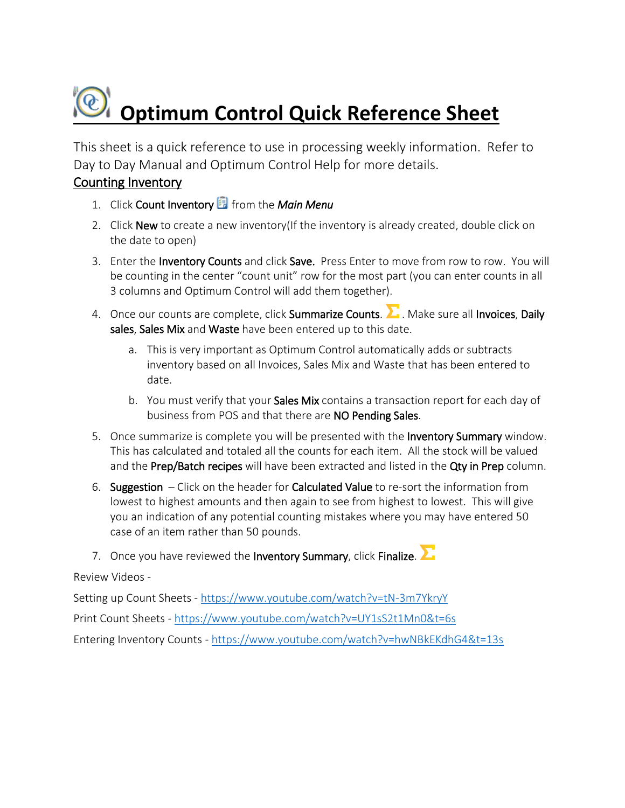# *<b><i>C* Optimum Control Quick Reference Sheet

This sheet is a quick reference to use in processing weekly information. Refer to Day to Day Manual and Optimum Control Help for more details.

#### Counting Inventory

- 1. Click Count Inventory from the *Main Menu*
- 2. Click New to create a new inventory(If the inventory is already created, double click on the date to open)
- 3. Enter the Inventory Counts and click Save. Press Enter to move from row to row. You will be counting in the center "count unit" row for the most part (you can enter counts in all 3 columns and Optimum Control will add them together).
- 4. Once our counts are complete, click Summarize Counts. **2.** Make sure all Invoices, Daily sales, Sales Mix and Waste have been entered up to this date.
	- a. This is very important as Optimum Control automatically adds or subtracts inventory based on all Invoices, Sales Mix and Waste that has been entered to date.
	- b. You must verify that your Sales Mix contains a transaction report for each day of business from POS and that there are NO Pending Sales.
- 5. Once summarize is complete you will be presented with the Inventory Summary window. This has calculated and totaled all the counts for each item. All the stock will be valued and the Prep/Batch recipes will have been extracted and listed in the Qty in Prep column.
- 6. Suggestion  $-$  Click on the header for **Calculated Value** to re-sort the information from lowest to highest amounts and then again to see from highest to lowest. This will give you an indication of any potential counting mistakes where you may have entered 50 case of an item rather than 50 pounds.
- 7. Once you have reviewed the Inventory Summary, click Finalize.

#### Review Videos -

Setting up Count Sheets - <https://www.youtube.com/watch?v=tN-3m7YkryY>

Print Count Sheets - <https://www.youtube.com/watch?v=UY1sS2t1Mn0&t=6s>

Entering Inventory Counts - <https://www.youtube.com/watch?v=hwNBkEKdhG4&t=13s>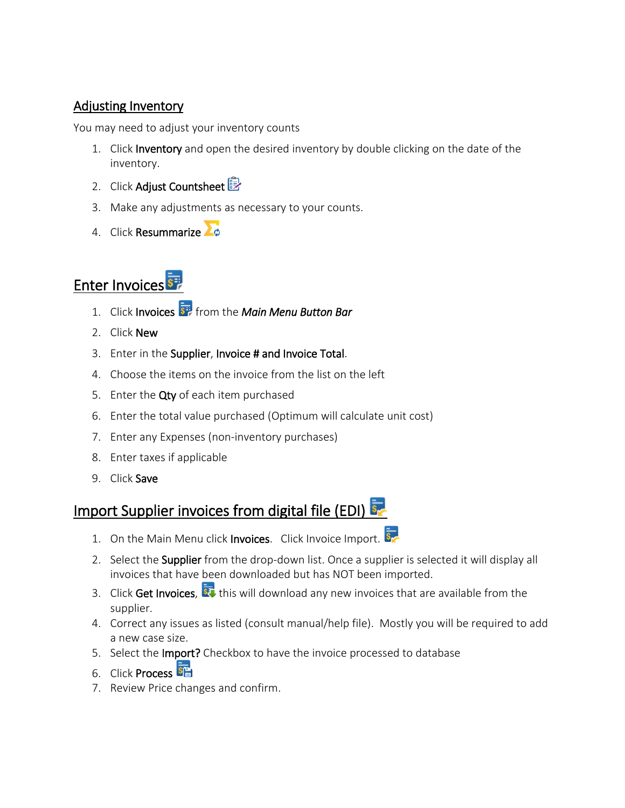#### Adjusting Inventory

You may need to adjust your inventory counts

- 1. Click Inventory and open the desired inventory by double clicking on the date of the inventory.
- 2. Click Adjust Countsheet
- 3. Make any adjustments as necessary to your counts.
- 4. Click Resummarize

## Enter Invoices

- 1. Click Invoices from the *Main Menu Button Bar*
- 2. Click New
- 3. Enter in the Supplier, Invoice # and Invoice Total.
- 4. Choose the items on the invoice from the list on the left
- 5. Enter the Qty of each item purchased
- 6. Enter the total value purchased (Optimum will calculate unit cost)
- 7. Enter any Expenses (non-inventory purchases)
- 8. Enter taxes if applicable
- 9. Click Save

### Import Supplier invoices from digital file (EDI)

- 1. On the Main Menu click Invoices. Click Invoice Import.
- 2. Select the Supplier from the drop-down list. Once a supplier is selected it will display all invoices that have been downloaded but has NOT been imported.
- 3. Click Get Invoices,  $\overline{\mathbf{S}^2}$  this will download any new invoices that are available from the supplier.
- 4. Correct any issues as listed (consult manual/help file). Mostly you will be required to add a new case size.
- 5. Select the Import? Checkbox to have the invoice processed to database
- 6. Click Process
- 7. Review Price changes and confirm.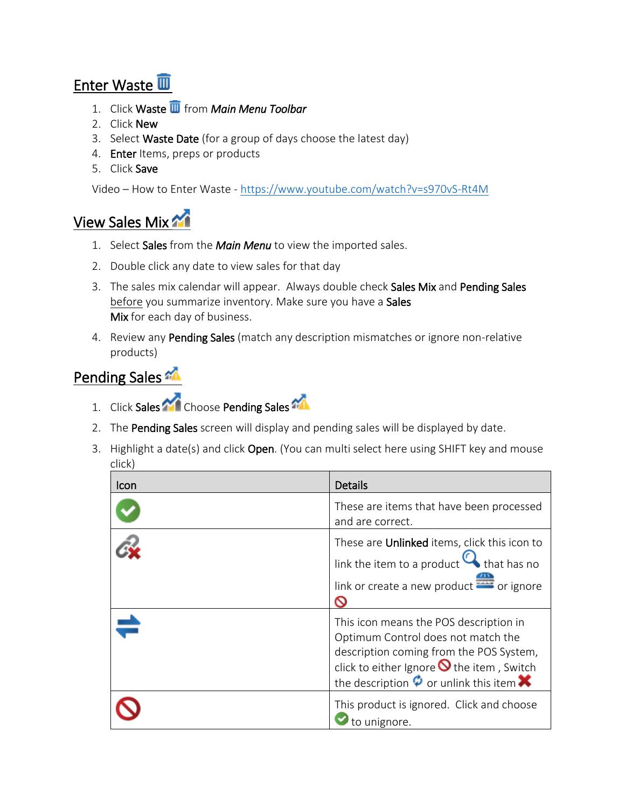## Enter Waste

- 1. Click Waste from *Main Menu Toolbar*
- 2. Click New
- 3. Select Waste Date (for a group of days choose the latest day)
- 4. **Enter** Items, preps or products
- 5. Click Save

Video – How to Enter Waste - <https://www.youtube.com/watch?v=s970vS-Rt4M>

## View Sales Mix

- 1. Select Sales from the *Main Menu* to view the imported sales.
- 2. Double click any date to view sales for that day
- 3. The sales mix calendar will appear. Always double check Sales Mix and Pending Sales before you summarize inventory. Make sure you have a Sales Mix for each day of business.
- 4. Review any Pending Sales (match any description mismatches or ignore non-relative products)

### Pending Sales

- 1. Click Sales **Choose Pending Sales**
- 2. The Pending Sales screen will display and pending sales will be displayed by date.
- 3. Highlight a date(s) and click Open. (You can multi select here using SHIFT key and mouse click)

| Icon | <b>Details</b>                                                                                                                                                                                                                            |
|------|-------------------------------------------------------------------------------------------------------------------------------------------------------------------------------------------------------------------------------------------|
|      | These are items that have been processed<br>and are correct.                                                                                                                                                                              |
|      | These are Unlinked items, click this icon to<br>link the item to a product $\mathbf Q$ that has no<br>link or create a new product or ignore                                                                                              |
|      | This icon means the POS description in<br>Optimum Control does not match the<br>description coming from the POS System,<br>click to either Ignore $\bigcirc$ the item, Switch<br>the description $\phi$ or unlink this item $\bm{\times}$ |
|      | This product is ignored. Click and choose<br>to unignore.                                                                                                                                                                                 |